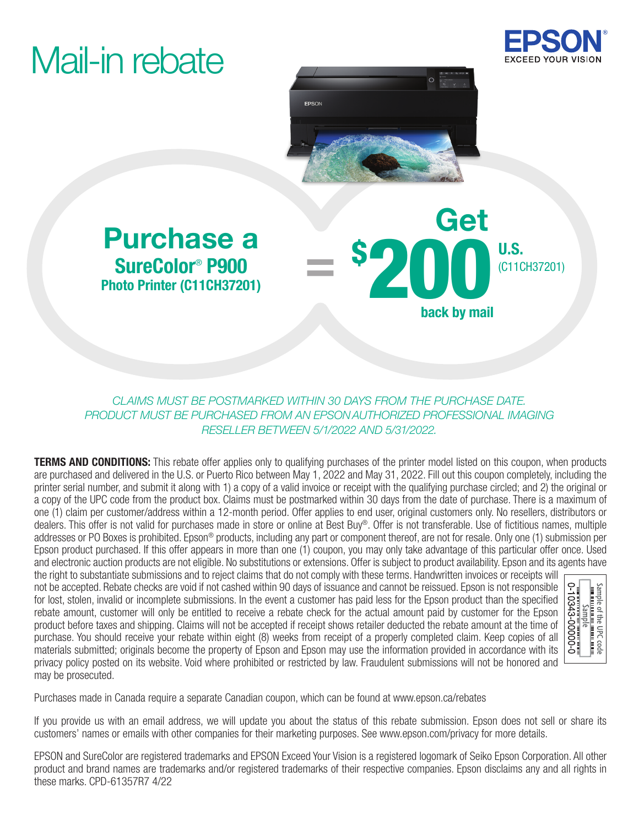# Mail-in rebate





back by mail

\$ 200 U.S.

### Purchase a Company Get SureColor® P900 Photo Printer (C11CH37201)

*CLAIMS MUST BE POSTMARKED WITHIN 30 DAYS FROM THE PURCHASE DATE. PRODUCT MUST BE PURCHASED FROM AN EPSON AUTHORIZED PROFESSIONAL IMAGING RESELLER BETWEEN 5/1/2022 AND 5/31/2022.*

=

**TERMS AND CONDITIONS:** This rebate offer applies only to qualifying purchases of the printer model listed on this coupon, when products are purchased and delivered in the U.S. or Puerto Rico between May 1, 2022 and May 31, 2022. Fill out this coupon completely, including the printer serial number, and submit it along with 1) a copy of a valid invoice or receipt with the qualifying purchase circled; and 2) the original or a copy of the UPC code from the product box. Claims must be postmarked within 30 days from the date of purchase. There is a maximum of one (1) claim per customer/address within a 12-month period. Offer applies to end user, original customers only. No resellers, distributors or dealers. This offer is not valid for purchases made in store or online at Best Buy®. Offer is not transferable. Use of fictitious names, multiple addresses or PO Boxes is prohibited. Epson® products, including any part or component thereof, are not for resale. Only one (1) submission per Epson product purchased. If this offer appears in more than one (1) coupon, you may only take advantage of this particular offer once. Used and electronic auction products are not eligible. No substitutions or extensions. Offer is subject to product availability. Epson and its agents have

the right to substantiate submissions and to reject claims that do not comply with these terms. Handwritten invoices or receipts will not be accepted. Rebate checks are void if not cashed within 90 days of issuance and cannot be reissued. Epson is not responsible for lost, stolen, invalid or incomplete submissions. In the event a customer has paid less for the Epson product than the specified rebate amount, customer will only be entitled to receive a rebate check for the actual amount paid by customer for the Epson product before taxes and shipping. Claims will not be accepted if receipt shows retailer deducted the rebate amount at the time of purchase. You should receive your rebate within eight (8) weeks from receipt of a properly completed claim. Keep copies of all materials submitted; originals become the property of Epson and Epson may use the information provided in accordance with its privacy policy posted on its website. Void where prohibited or restricted by law. Fraudulent submissions will not be honored and may be prosecuted.



Purchases made in Canada require a separate Canadian coupon, which can be found at www.epson.ca/rebates

If you provide us with an email address, we will update you about the status of this rebate submission. Epson does not sell or share its customers' names or emails with other companies for their marketing purposes. See www.epson.com/privacy for more details.

EPSON and SureColor are registered trademarks and EPSON Exceed Your Vision is a registered logomark of Seiko Epson Corporation. All other product and brand names are trademarks and/or registered trademarks of their respective companies. Epson disclaims any and all rights in these marks. CPD-61357R7 4/22